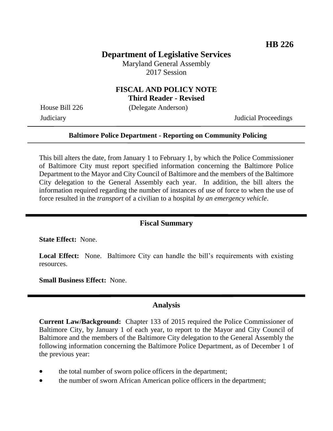# **Department of Legislative Services**

Maryland General Assembly 2017 Session

### **FISCAL AND POLICY NOTE Third Reader - Revised**

House Bill 226 (Delegate Anderson)

Judiciary Judicial Proceedings

### **Baltimore Police Department - Reporting on Community Policing**

This bill alters the date, from January 1 to February 1, by which the Police Commissioner of Baltimore City must report specified information concerning the Baltimore Police Department to the Mayor and City Council of Baltimore and the members of the Baltimore City delegation to the General Assembly each year. In addition, the bill alters the information required regarding the number of instances of use of force to when the use of force resulted in the *transport* of a civilian to a hospital *by an emergency vehicle*.

## **Fiscal Summary**

**State Effect:** None.

Local Effect: None. Baltimore City can handle the bill's requirements with existing resources.

**Small Business Effect:** None.

#### **Analysis**

**Current Law/Background:** Chapter 133 of 2015 required the Police Commissioner of Baltimore City, by January 1 of each year, to report to the Mayor and City Council of Baltimore and the members of the Baltimore City delegation to the General Assembly the following information concerning the Baltimore Police Department, as of December 1 of the previous year:

- the total number of sworn police officers in the department;
- the number of sworn African American police officers in the department;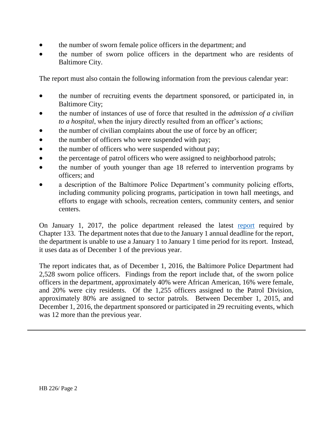- the number of sworn female police officers in the department; and
- the number of sworn police officers in the department who are residents of Baltimore City.

The report must also contain the following information from the previous calendar year:

- the number of recruiting events the department sponsored, or participated in, in Baltimore City;
- the number of instances of use of force that resulted in the *admission of a civilian to a hospital*, when the injury directly resulted from an officer's actions;
- the number of civilian complaints about the use of force by an officer;
- the number of officers who were suspended with pay;
- the number of officers who were suspended without pay;
- the percentage of patrol officers who were assigned to neighborhood patrols;
- the number of youth younger than age 18 referred to intervention programs by officers; and
- a description of the Baltimore Police Department's community policing efforts, including community policing programs, participation in town hall meetings, and efforts to engage with schools, recreation centers, community centers, and senior centers.

On January 1, 2017, the police department released the latest [report](http://www.baltimorepolice.org/sites/default/files/2017-HB_771_Report-Report_on_Community_Policing_20161207.pdf) required by Chapter 133. The department notes that due to the January 1 annual deadline for the report, the department is unable to use a January 1 to January 1 time period for its report. Instead, it uses data as of December 1 of the previous year.

The report indicates that, as of December 1, 2016, the Baltimore Police Department had 2,528 sworn police officers. Findings from the report include that, of the sworn police officers in the department, approximately 40% were African American, 16% were female, and 20% were city residents. Of the 1,255 officers assigned to the Patrol Division, approximately 80% are assigned to sector patrols. Between December 1, 2015, and December 1, 2016, the department sponsored or participated in 29 recruiting events, which was 12 more than the previous year.